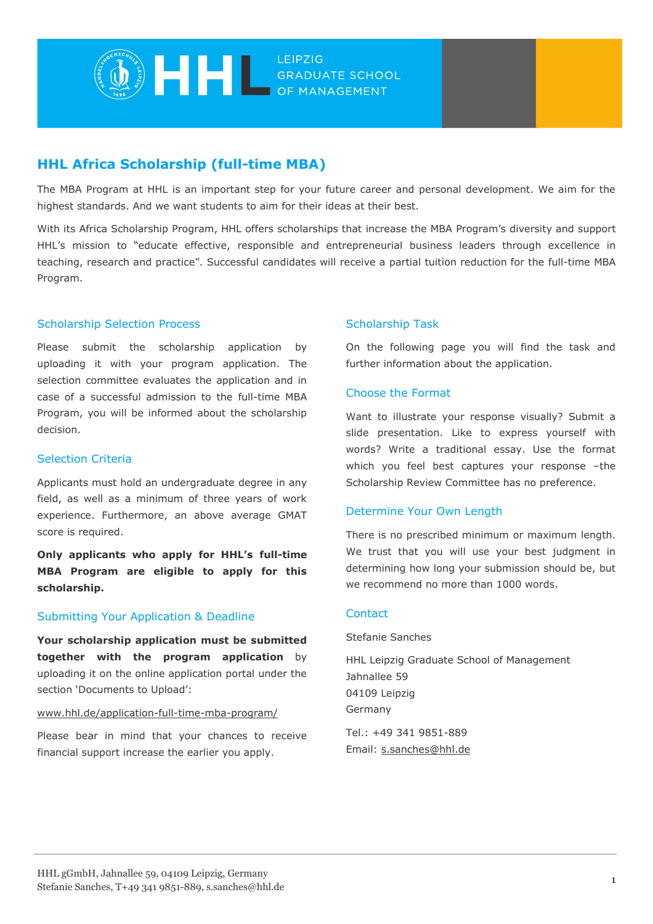

# **HHL Africa Scholarship (full-time MBA)**

The MBA Program at HHL is an important step for your future career and personal development. We aim for the highest standards. And we want students to aim for their ideas at their best.

With its Africa Scholarship Program, HHL offers scholarships that increase the MBA Program's diversity and support HHL's mission to "educate effective, responsible and entrepreneurial business leaders through excellence in teaching, research and practice". Successful candidates will receive a partial tuition reduction for the full-time MBA Program.

## Scholarship Selection Process

Please submit the scholarship application by uploading it with your program application. The selection committee evaluates the application and in case of a successful admission to the full-time MBA Program, you will be informed about the scholarship decision.

#### Selection Criteria

Applicants must hold an undergraduate degree in any field, as well as a minimum of three years of work experience. Furthermore, an above average GMAT score is required.

**Only applicants who apply for HHL's full-time MBA Program are eligible to apply for this scholarship.**

#### Submitting Your Application & Deadline

**Your scholarship application must be submitted together with the program application** by uploading it on the online application portal under the section 'Documents to Upload':

#### [www.hhl.de/application-full-time-mba-program/](https://www.hhl.de/application-full-time-mba-program/)

Please bear in mind that your chances to receive financial support increase the earlier you apply.

## Scholarship Task

On the following page you will find the task and further information about the application.

#### Choose the Format

Want to illustrate your response visually? Submit a slide presentation. Like to express yourself with words? Write a traditional essay. Use the format which you feel best captures your response –the Scholarship Review Committee has no preference.

#### Determine Your Own Length

There is no prescribed minimum or maximum length. We trust that you will use your best judgment in determining how long your submission should be, but we recommend no more than 1000 words.

#### **Contact**

Stefanie Sanches

HHL Leipzig Graduate School of Management Jahnallee 59 04109 Leipzig Germany

Tel.: +49 341 9851-889 Email: [s.sanches@hhl.de](mailto:s.sanches@hhl.de)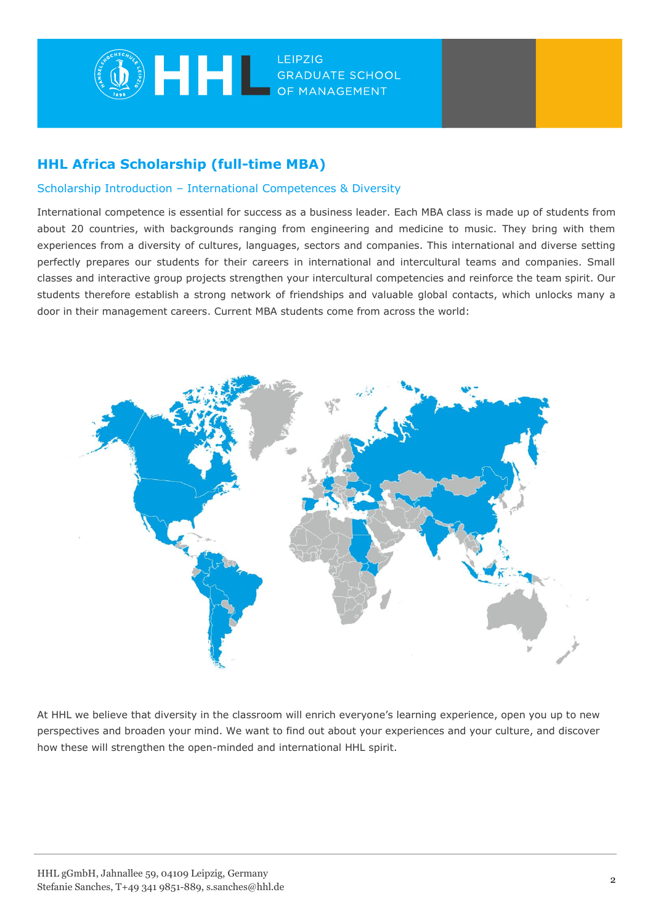

# **HHL Africa Scholarship (full-time MBA)**

## Scholarship Introduction – International Competences & Diversity

International competence is essential for success as a business leader. Each MBA class is made up of students from about 20 countries, with backgrounds ranging from engineering and medicine to music. They bring with them experiences from a diversity of cultures, languages, sectors and companies. This international and diverse setting perfectly prepares our students for their careers in international and intercultural teams and companies. Small classes and interactive group projects strengthen your intercultural competencies and reinforce the team spirit. Our students therefore establish a strong network of friendships and valuable global contacts, which unlocks many a door in their management careers. Current MBA students come from across the world:



At HHL we believe that diversity in the classroom will enrich everyone's learning experience, open you up to new perspectives and broaden your mind. We want to find out about your experiences and your culture, and discover how these will strengthen the open-minded and international HHL spirit.